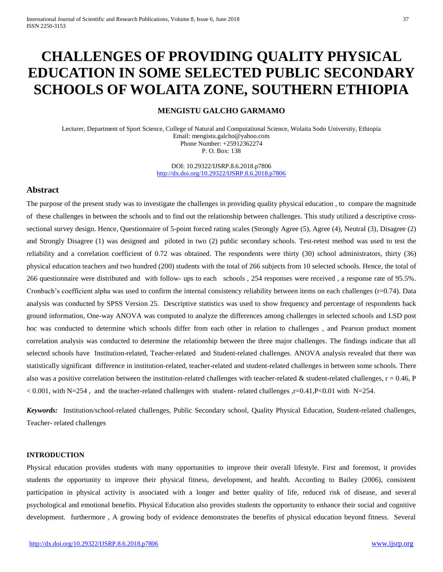# **CHALLENGES OF PROVIDING QUALITY PHYSICAL EDUCATION IN SOME SELECTED PUBLIC SECONDARY SCHOOLS OF WOLAITA ZONE, SOUTHERN ETHIOPIA**

## **MENGISTU GALCHO GARMAMO**

Lecturer, Department of Sport Science, College of Natural and Computational Science, Wolaita Sodo University, Ethiopia Email: mengistu.galcho@yahoo.com Phone Number: +25912362274 P. O. Box: 138

> DOI: 10.29322/IJSRP.8.6.2018.p7806 <http://dx.doi.org/10.29322/IJSRP.8.6.2018.p7806>

## **Abstract**

The purpose of the present study was to investigate the challenges in providing quality physical education , to compare the magnitude of these challenges in between the schools and to find out the relationship between challenges. This study utilized a descriptive crosssectional survey design. Hence, Questionnaire of 5-point forced rating scales (Strongly Agree (5), Agree (4), Neutral (3), Disagree (2) and Strongly Disagree (1) was designed and piloted in two (2) public secondary schools. Test-retest method was used to test the reliability and a correlation coefficient of 0.72 was obtained. The respondents were thirty (30) school administrators, thirty (36) physical education teachers and two hundred (200) students with the total of 266 subjects from 10 selected schools. Hence, the total of 266 questionnaire were distributed and with follow- ups to each schools , 254 responses were received , a response rate of 95.5%. Cronbach's coefficient alpha was used to confirm the internal consistency reliability between items on each challenges (r=0.74). Data analysis was conducted by SPSS Version 25. Descriptive statistics was used to show frequency and percentage of respondents back ground information, One-way ANOVA was computed to analyze the differences among challenges in selected schools and LSD post hoc was conducted to determine which schools differ from each other in relation to challenges , and Pearson product moment correlation analysis was conducted to determine the relationship between the three major challenges. The findings indicate that all selected schools have Institution-related, Teacher-related and Student-related challenges. ANOVA analysis revealed that there was statistically significant difference in institution-related, teacher-related and student-related challenges in between some schools. There also was a positive correlation between the institution-related challenges with teacher-related  $\&$  student-related challenges,  $r = 0.46$ , P  $< 0.001$ , with N=254, and the teacher-related challenges with student- related challenges ,r=0.41,P<0.01 with N=254.

*Keywords:* Institution/school-related challenges, Public Secondary school, Quality Physical Education, Student-related challenges, Teacher- related challenges

#### **INTRODUCTION**

Physical education provides students with many opportunities to improve their overall lifestyle. First and foremost, it provides students the opportunity to improve their physical fitness, development, and health. According to Bailey (2006), consistent participation in physical activity is associated with a longer and better quality of life, reduced risk of disease, and several psychological and emotional benefits. Physical Education also provides students the opportunity to enhance their social and cognitive development. furthermore , A growing body of evidence demonstrates the benefits of physical education beyond fitness. Several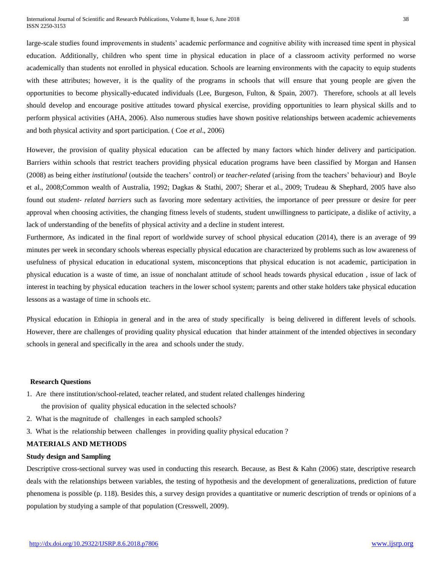large-scale studies found improvements in students' academic performance and cognitive ability with increased time spent in physical education. Additionally, children who spent time in physical education in place of a classroom activity performed no worse academically than students not enrolled in physical education. Schools are learning environments with the capacity to equip students with these attributes; however, it is the quality of the programs in schools that will ensure that young people are given the opportunities to become physically-educated individuals (Lee, Burgeson, Fulton, & Spain, 2007). Therefore, schools at all levels should develop and encourage positive attitudes toward physical exercise, providing opportunities to learn physical skills and to perform physical activities (AHA, 2006). Also numerous studies have shown positive relationships between academic achievements and both physical activity and sport participation. ( Coe *et al*., 2006)

However, the provision of quality physical education can be affected by many factors which hinder delivery and participation. Barriers within schools that restrict teachers providing physical education programs have been classified by Morgan and Hansen (2008) as being either *institutional* (outside the teachers' control) or *teacher-related* (arising from the teachers' behaviour) and Boyle et al., 2008;Common wealth of Australia, 1992; Dagkas & Stathi, 2007; Sherar et al., 2009; Trudeau & Shephard, 2005 have also found out *student- related barriers* such as favoring more sedentary activities, the importance of peer pressure or desire for peer approval when choosing activities, the changing fitness levels of students, student unwillingness to participate, a dislike of activity, a lack of understanding of the benefits of physical activity and a decline in student interest.

Furthermore, As indicated in the final report of worldwide survey of school physical education (2014), there is an average of 99 minutes per week in secondary schools whereas especially physical education are characterized by problems such as low awareness of usefulness of physical education in educational system, misconceptions that physical education is not academic, participation in physical education is a waste of time, an issue of nonchalant attitude of school heads towards physical education , issue of lack of interest in teaching by physical education teachers in the lower school system; parents and other stake holders take physical education lessons as a wastage of time in schools etc.

Physical education in Ethiopia in general and in the area of study specifically is being delivered in different levels of schools. However, there are challenges of providing quality physical education that hinder attainment of the intended objectives in secondary schools in general and specifically in the area and schools under the study.

#### **Research Questions**

- 1. Are there institution/school-related, teacher related, and student related challenges hindering
	- the provision of quality physical education in the selected schools?
- 2. What is the magnitude of challenges in each sampled schools?
- 3. What is the relationship between challenges in providing quality physical education ?

### **MATERIALS AND METHODS**

#### **Study design and Sampling**

Descriptive cross-sectional survey was used in conducting this research. Because, as Best & Kahn (2006) state, descriptive research deals with the relationships between variables, the testing of hypothesis and the development of generalizations, prediction of future phenomena is possible (p. 118). Besides this, a survey design provides a quantitative or numeric description of trends or opinions of a population by studying a sample of that population (Cresswell, 2009).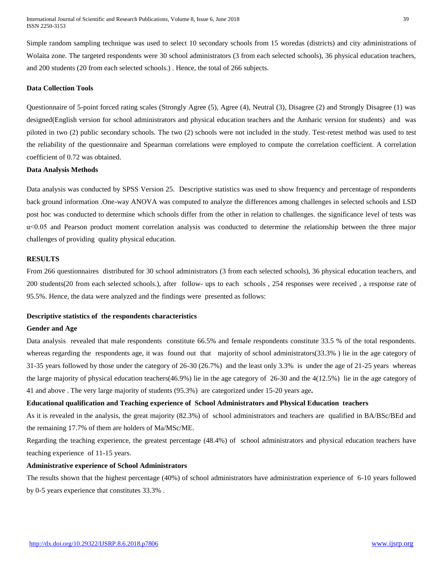Simple random sampling technique was used to select 10 secondary schools from 15 woredas (districts) and city administrations of Wolaita zone. The targeted respondents were 30 school administrators (3 from each selected schools), 36 physical education teachers, and 200 students (20 from each selected schools.) . Hence, the total of 266 subjects.

#### **Data Collection Tools**

Questionnaire of 5-point forced rating scales (Strongly Agree (5), Agree (4), Neutral (3), Disagree (2) and Strongly Disagree (1) was designed(English version for school administrators and physical education teachers and the Amharic version for students) and was piloted in two (2) public secondary schools. The two (2) schools were not included in the study. Test-retest method was used to test the reliability of the questionnaire and Spearman correlations were employed to compute the correlation coefficient. A correlation coefficient of 0.72 was obtained.

## **Data Analysis Methods**

Data analysis was conducted by SPSS Version 25. Descriptive statistics was used to show frequency and percentage of respondents back ground information .One-way ANOVA was computed to analyze the differences among challenges in selected schools and LSD post hoc was conducted to determine which schools differ from the other in relation to challenges. the significance level of tests was α<0.05 and Pearson product moment correlation analysis was conducted to determine the relationship between the three major challenges of providing quality physical education.

#### **RESULTS**

From 266 questionnaires distributed for 30 school administrators (3 from each selected schools), 36 physical education teachers, and 200 students(20 from each selected schools.), after follow- ups to each schools , 254 responses were received , a response rate of 95.5%. Hence, the data were analyzed and the findings were presented as follows:

#### **Descriptive statistics of the respondents characteristics**

#### **Gender and Age**

Data analysis revealed that male respondents constitute 66.5% and female respondents constitute 33.5 % of the total respondents. whereas regarding the respondents age, it was found out that majority of school administrators(33.3%) lie in the age category of 31-35 years followed by those under the category of 26-30 (26.7%) and the least only 3.3% is under the age of 21-25 years whereas the large majority of physical education teachers(46.9%) lie in the age category of 26-30 and the 4(12.5%) lie in the age category of 41 and above . The very large majority of students (95.3%) are categorized under 15-20 years age**.**

#### **Educational qualification and Teaching experience of School Administrators and Physical Education teachers**

As it is revealed in the analysis, the great majority (82.3%) of school administrators and teachers are qualified in BA/BSc/BEd and the remaining 17.7% of them are holders of Ma/MSc/ME.

Regarding the teaching experience, the greatest percentage (48.4%) of school administrators and physical education teachers have teaching experience of 11-15 years.

#### **Administrative experience of School Administrators**

The results shown that the highest percentage (40%) of school administrators have administration experience of 6-10 years followed by 0-5 years experience that constitutes 33.3% .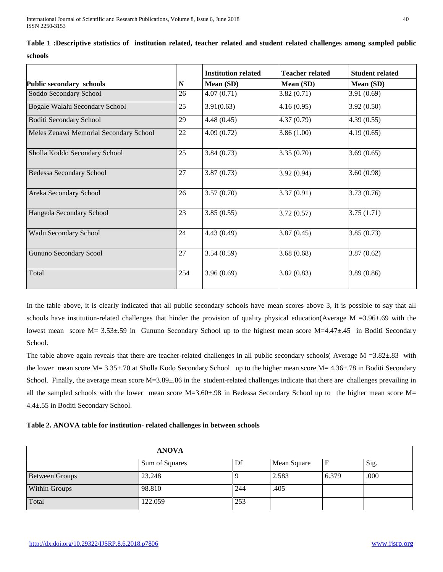|                                        |     | <b>Institution related</b> | <b>Teacher related</b> | <b>Student related</b> |
|----------------------------------------|-----|----------------------------|------------------------|------------------------|
| <b>Public secondary schools</b>        | N   | Mean (SD)                  | Mean (SD)              | Mean (SD)              |
| Soddo Secondary School                 | 26  | 4.07(0.71)                 | 3.82(0.71)             | 3.91 (0.69)            |
| Bogale Walalu Secondary School         | 25  | 3.91(0.63)                 | 4.16(0.95)             | 3.92(0.50)             |
| <b>Boditi Secondary School</b>         | 29  | 4.48(0.45)                 | 4.37 (0.79)            | 4.39(0.55)             |
| Meles Zenawi Memorial Secondary School | 22  | 4.09(0.72)                 | 3.86(1.00)             | 4.19(0.65)             |
| Sholla Koddo Secondary School          | 25  | 3.84(0.73)                 | 3.35(0.70)             | 3.69(0.65)             |
| <b>Bedessa Secondary School</b>        | 27  | 3.87(0.73)                 | 3.92 (0.94)            | 3.60(0.98)             |
| Areka Secondary School                 | 26  | 3.57(0.70)                 | 3.37(0.91)             | 3.73 (0.76)            |
| Hangeda Secondary School               | 23  | 3.85(0.55)                 | 3.72(0.57)             | 3.75(1.71)             |
| Wadu Secondary School                  | 24  | 4.43(0.49)                 | 3.87(0.45)             | 3.85(0.73)             |
| <b>Gununo Secondary Scool</b>          | 27  | 3.54(0.59)                 | 3.68(0.68)             | 3.87(0.62)             |
| Total                                  | 254 | 3.96(0.69)                 | 3.82(0.83)             | 3.89 (0.86)            |

**Table 1 :Descriptive statistics of institution related, teacher related and student related challenges among sampled public schools**

In the table above, it is clearly indicated that all public secondary schools have mean scores above 3, it is possible to say that all schools have institution-related challenges that hinder the provision of quality physical education(Average M = 3.96 $\pm$ .69 with the lowest mean score M= 3.53±.59 in Gununo Secondary School up to the highest mean score M=4.47±.45 in Boditi Secondary School.

The table above again reveals that there are teacher-related challenges in all public secondary schools( Average  $M = 3.82 \pm .83$  with the lower mean score M= 3.35±.70 at Sholla Kodo Secondary School up to the higher mean score M= 4.36±.78 in Boditi Secondary School. Finally, the average mean score  $M=3.89\pm.86$  in the student-related challenges indicate that there are challenges prevailing in all the sampled schools with the lower mean score M=3.60±.98 in Bedessa Secondary School up to the higher mean score M= 4.4±.55 in Boditi Secondary School.

**Table 2. ANOVA table for institution- related challenges in between schools** 

| <b>ANOVA</b>          |                |     |             |       |      |  |
|-----------------------|----------------|-----|-------------|-------|------|--|
|                       | Sum of Squares | Df  | Mean Square |       | Sig. |  |
| <b>Between Groups</b> | 23.248         |     | 2.583       | 6.379 | .000 |  |
| Within Groups         | 98.810         | 244 | .405        |       |      |  |
| Total                 | 122.059        | 253 |             |       |      |  |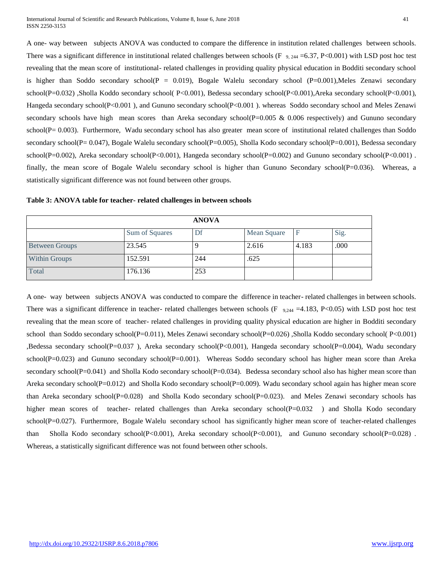A one- way between subjects ANOVA was conducted to compare the difference in institution related challenges between schools. There was a significant difference in institutional related challenges between schools (F  $_{9,244}$  =6.37, P<0.001) with LSD post hoc test revealing that the mean score of institutional- related challenges in providing quality physical education in Bodditi secondary school is higher than Soddo secondary school( $P = 0.019$ ), Bogale Walelu secondary school ( $P=0.001$ ), Meles Zenawi secondary school(P=0.032) ,Sholla Koddo secondary school( P<0.001), Bedessa secondary school(P<0.001),Areka secondary school(P<0.001), Hangeda secondary school(P<0.001 ), and Gununo secondary school(P<0.001 ). whereas Soddo secondary school and Meles Zenawi secondary schools have high mean scores than Areka secondary school( $P=0.005 \& 0.006$  respectively) and Gununo secondary school(P= 0.003). Furthermore, Wadu secondary school has also greater mean score of institutional related challenges than Soddo secondary school(P= 0.047), Bogale Walelu secondary school(P=0.005), Sholla Kodo secondary school(P=0.001), Bedessa secondary school(P=0.002), Areka secondary school(P<0.001), Hangeda secondary school(P=0.002) and Gununo secondary school(P<0.001). finally, the mean score of Bogale Walelu secondary school is higher than Gununo Secondary school(P=0.036). Whereas, a statistically significant difference was not found between other groups.

|                       |                | <b>ANOVA</b> |                    |       |      |
|-----------------------|----------------|--------------|--------------------|-------|------|
|                       | Sum of Squares | Df           | <b>Mean Square</b> |       | Sig. |
| <b>Between Groups</b> | 23.545         |              | 2.616              | 4.183 | .000 |
| <b>Within Groups</b>  | 152.591        | 244          | .625               |       |      |
| Total                 | 176.136        | 253          |                    |       |      |

**Table 3: ANOVA table for teacher- related challenges in between schools**

A one- way between subjects ANOVA was conducted to compare the difference in teacher- related challenges in between schools. There was a significant difference in teacher- related challenges between schools (F  $_{9,244}$  =4.183, P<0.05) with LSD post hoc test revealing that the mean score of teacher- related challenges in providing quality physical education are higher in Bodditi secondary school than Soddo secondary school(P=0.011), Meles Zenawi secondary school(P=0.026) ,Sholla Koddo secondary school( P<0.001) ,Bedessa secondary school(P=0.037 ), Areka secondary school(P<0.001), Hangeda secondary school(P=0.004), Wadu secondary school( $P=0.023$ ) and Gununo secondary school( $P=0.001$ ). Whereas Soddo secondary school has higher mean score than Areka secondary school(P=0.041) and Sholla Kodo secondary school(P=0.034). Bedessa secondary school also has higher mean score than Areka secondary school(P=0.012) and Sholla Kodo secondary school(P=0.009). Wadu secondary school again has higher mean score than Areka secondary school(P=0.028) and Sholla Kodo secondary school(P=0.023). and Meles Zenawi secondary schools has higher mean scores of teacher- related challenges than Areka secondary school(P=0.032 ) and Sholla Kodo secondary school(P=0.027). Furthermore, Bogale Walelu secondary school has significantly higher mean score of teacher-related challenges than Sholla Kodo secondary school(P<0.001), Areka secondary school(P<0.001), and Gununo secondary school(P=0.028) . Whereas, a statistically significant difference was not found between other schools.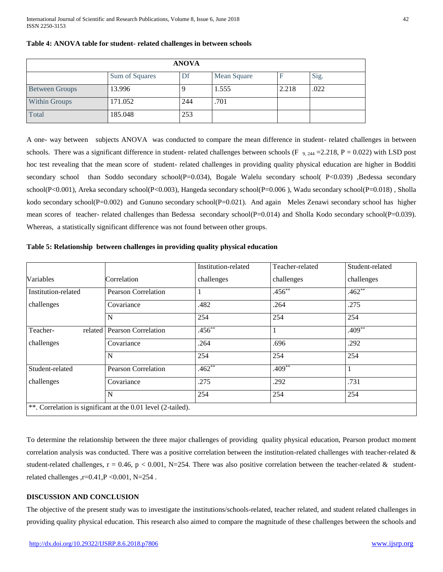| <b>ANOVA</b>          |                |     |             |       |      |  |
|-----------------------|----------------|-----|-------------|-------|------|--|
|                       | Sum of Squares | Df  | Mean Square |       | Sig. |  |
| <b>Between Groups</b> | 13.996         | Q   | 1.555       | 2.218 | .022 |  |
| <b>Within Groups</b>  | 171.052        | 244 | .701        |       |      |  |
| Total                 | 185.048        | 253 |             |       |      |  |

#### **Table 4: ANOVA table for student- related challenges in between schools**

A one- way between subjects ANOVA was conducted to compare the mean difference in student- related challenges in between schools. There was a significant difference in student- related challenges between schools (F  $_9$ ,  $_{244}$  = 2.218, P = 0.022) with LSD post hoc test revealing that the mean score of student- related challenges in providing quality physical education are higher in Bodditi secondary school than Soddo secondary school(P=0.034), Bogale Walelu secondary school( P<0.039) ,Bedessa secondary school(P<0.001), Areka secondary school(P<0.003), Hangeda secondary school(P=0.006 ), Wadu secondary school(P=0.018) , Sholla kodo secondary school( $P=0.002$ ) and Gununo secondary school( $P=0.021$ ). And again Meles Zenawi secondary school has higher mean scores of teacher- related challenges than Bedessa secondary school(P=0.014) and Sholla Kodo secondary school(P=0.039). Whereas, a statistically significant difference was not found between other groups.

## **Table 5: Relationship between challenges in providing quality physical education**

|                                                              |                               | Institution-related | Teacher-related | Student-related |  |  |
|--------------------------------------------------------------|-------------------------------|---------------------|-----------------|-----------------|--|--|
| Variables                                                    | Correlation                   | challenges          | challenges      | challenges      |  |  |
| Institution-related                                          | <b>Pearson Correlation</b>    |                     | $.456**$        | $.462**$        |  |  |
| challenges                                                   | Covariance                    | .482                | .264            | .275            |  |  |
|                                                              | N                             | 254                 | 254             | 254             |  |  |
| Teacher-                                                     | related   Pearson Correlation | $.456^{**}$         | $\mathbf{I}$    | $.409**$        |  |  |
| challenges                                                   | Covariance                    | .264                | .696            | .292            |  |  |
|                                                              | N                             | 254                 | 254             | 254             |  |  |
| Student-related                                              | <b>Pearson Correlation</b>    | $.462**$            | $.409**$        |                 |  |  |
| challenges                                                   | Covariance                    | .275                | .292            | .731            |  |  |
|                                                              | N                             | 254                 | 254             | 254             |  |  |
| **. Correlation is significant at the 0.01 level (2-tailed). |                               |                     |                 |                 |  |  |

To determine the relationship between the three major challenges of providing quality physical education, Pearson product moment correlation analysis was conducted. There was a positive correlation between the institution-related challenges with teacher-related  $\&$ student-related challenges,  $r = 0.46$ ,  $p < 0.001$ , N=254. There was also positive correlation between the teacher-related & studentrelated challenges ,r=0.41,P < 0.001, N= $254$ .

## **DISCUSSION AND CONCLUSION**

The objective of the present study was to investigate the institutions/schools-related, teacher related, and student related challenges in providing quality physical education. This research also aimed to compare the magnitude of these challenges between the schools and